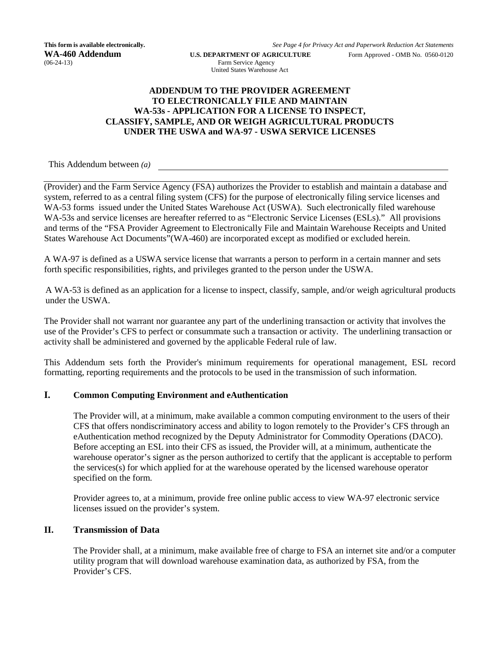**This form is available electronically.** *See Page 4 for Privacy Act and Paperwork Reduction Act Statements*

**WA-460 Addendum** U.S. DEPARTMENT OF AGRICULTURE Form Approved - OMB No. 0560-0120 Farm Service Agency Farm Service Agency United States Warehouse Act

### **ADDENDUM TO THE PROVIDER AGREEMENT TO ELECTRONICALLY FILE AND MAINTAIN WA-53s - APPLICATION FOR A LICENSE TO INSPECT, CLASSIFY, SAMPLE, AND OR WEIGH AGRICULTURAL PRODUCTS UNDER THE USWA and WA-97 - USWA SERVICE LICENSES**

This Addendum between *(a)*

(Provider) and the Farm Service Agency (FSA) authorizes the Provider to establish and maintain a database and system, referred to as a central filing system (CFS) for the purpose of electronically filing service licenses and WA-53 forms issued under the United States Warehouse Act (USWA). Such electronically filed warehouse WA-53s and service licenses are hereafter referred to as "Electronic Service Licenses (ESLs)." All provisions and terms of the "FSA Provider Agreement to Electronically File and Maintain Warehouse Receipts and United States Warehouse Act Documents"(WA-460) are incorporated except as modified or excluded herein.

A WA-97 is defined as a USWA service license that warrants a person to perform in a certain manner and sets forth specific responsibilities, rights, and privileges granted to the person under the USWA.

A WA-53 is defined as an application for a license to inspect, classify, sample, and/or weigh agricultural products under the USWA.

The Provider shall not warrant nor guarantee any part of the underlining transaction or activity that involves the use of the Provider's CFS to perfect or consummate such a transaction or activity. The underlining transaction or activity shall be administered and governed by the applicable Federal rule of law.

This Addendum sets forth the Provider's minimum requirements for operational management, ESL record formatting, reporting requirements and the protocols to be used in the transmission of such information.

### **I. Common Computing Environment and eAuthentication**

The Provider will, at a minimum, make available a common computing environment to the users of their CFS that offers nondiscriminatory access and ability to logon remotely to the Provider's CFS through an eAuthentication method recognized by the Deputy Administrator for Commodity Operations (DACO). Before accepting an ESL into their CFS as issued, the Provider will, at a minimum, authenticate the warehouse operator's signer as the person authorized to certify that the applicant is acceptable to perform the services(s) for which applied for at the warehouse operated by the licensed warehouse operator specified on the form.

Provider agrees to, at a minimum, provide free online public access to view WA-97 electronic service licenses issued on the provider's system.

# **II. Transmission of Data**

The Provider shall, at a minimum, make available free of charge to FSA an internet site and/or a computer utility program that will download warehouse examination data, as authorized by FSA, from the Provider's CFS.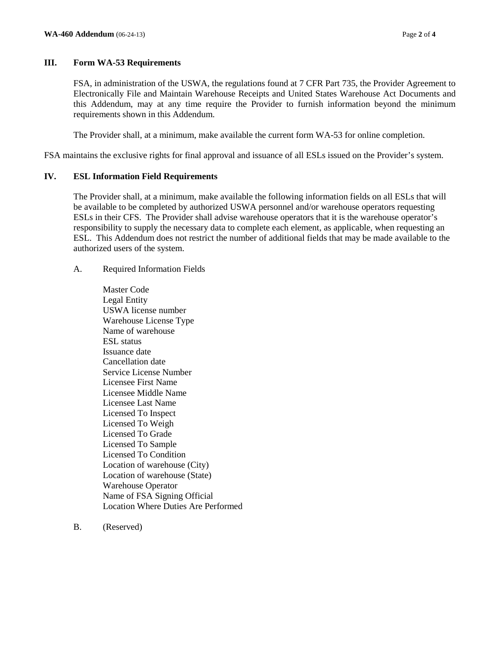## **III. Form WA-53 Requirements**

FSA, in administration of the USWA, the regulations found at 7 CFR Part 735, the Provider Agreement to Electronically File and Maintain Warehouse Receipts and United States Warehouse Act Documents and this Addendum, may at any time require the Provider to furnish information beyond the minimum requirements shown in this Addendum.

The Provider shall, at a minimum, make available the current form WA-53 for online completion.

FSA maintains the exclusive rights for final approval and issuance of all ESLs issued on the Provider's system.

## **IV. ESL Information Field Requirements**

The Provider shall, at a minimum, make available the following information fields on all ESLs that will be available to be completed by authorized USWA personnel and/or warehouse operators requesting ESLs in their CFS. The Provider shall advise warehouse operators that it is the warehouse operator's responsibility to supply the necessary data to complete each element, as applicable, when requesting an ESL. This Addendum does not restrict the number of additional fields that may be made available to the authorized users of the system.

- A. Required Information Fields
	- Master Code Legal Entity USWA license number Warehouse License Type Name of warehouse ESL status Issuance date Cancellation date Service License Number Licensee First Name Licensee Middle Name Licensee Last Name Licensed To Inspect Licensed To Weigh Licensed To Grade Licensed To Sample Licensed To Condition Location of warehouse (City) Location of warehouse (State) Warehouse Operator Name of FSA Signing Official Location Where Duties Are Performed
- B. (Reserved)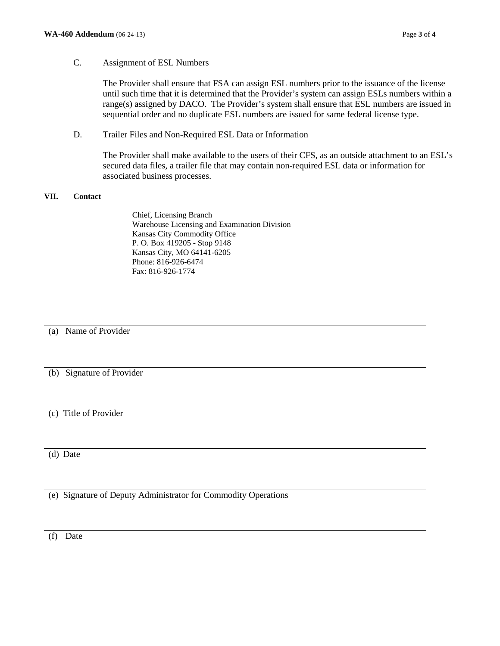#### C. Assignment of ESL Numbers

The Provider shall ensure that FSA can assign ESL numbers prior to the issuance of the license until such time that it is determined that the Provider's system can assign ESLs numbers within a range(s) assigned by DACO. The Provider's system shall ensure that ESL numbers are issued in sequential order and no duplicate ESL numbers are issued for same federal license type.

D. Trailer Files and Non-Required ESL Data or Information

The Provider shall make available to the users of their CFS, as an outside attachment to an ESL's secured data files, a trailer file that may contain non-required ESL data or information for associated business processes.

#### **VII. Contact**

Chief, Licensing Branch Warehouse Licensing and Examination Division Kansas City Commodity Office P. O. Box 419205 - Stop 9148 Kansas City, MO 64141-6205 Phone: 816-926-6474 Fax: 816-926-1774

(a) Name of Provider

(b) Signature of Provider

(c) Title of Provider

(d) Date

(e) Signature of Deputy Administrator for Commodity Operations

(f) Date